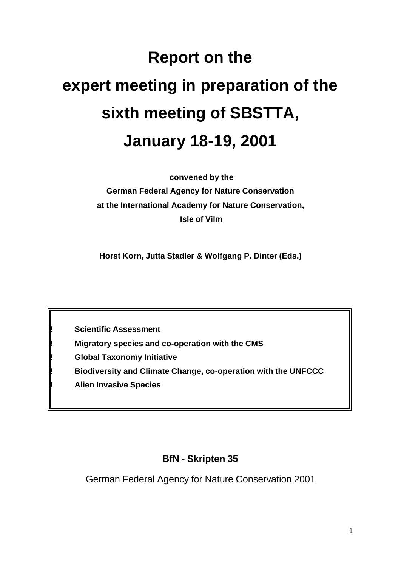# **Report on the expert meeting in preparation of the sixth meeting of SBSTTA, January 18-19, 2001**

 **convened by the German Federal Agency for Nature Conservation at the International Academy for Nature Conservation, Isle of Vilm**

**Horst Korn, Jutta Stadler & Wolfgang P. Dinter (Eds.)**

**! Scientific Assessment**

**! Migratory species and co-operation with the CMS**

**! Global Taxonomy Initiative**

**! Biodiversity and Climate Change, co-operation with the UNFCCC**

**! Alien Invasive Species**

# **BfN - Skripten 35**

German Federal Agency for Nature Conservation 2001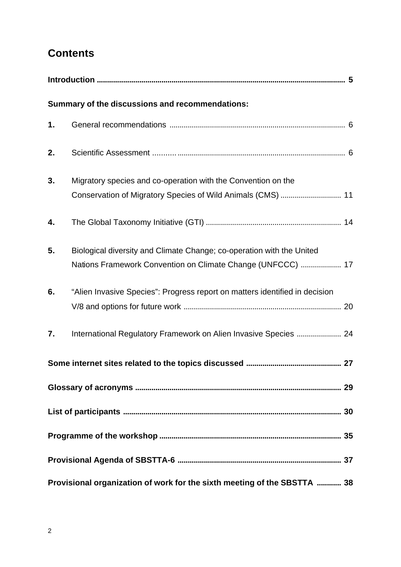# **Contents**

|    | Summary of the discussions and recommendations:                                                                                      |  |
|----|--------------------------------------------------------------------------------------------------------------------------------------|--|
| 1. |                                                                                                                                      |  |
| 2. |                                                                                                                                      |  |
| 3. | Migratory species and co-operation with the Convention on the<br>Conservation of Migratory Species of Wild Animals (CMS)  11         |  |
| 4. |                                                                                                                                      |  |
| 5. | Biological diversity and Climate Change; co-operation with the United<br>Nations Framework Convention on Climate Change (UNFCCC)  17 |  |
| 6. | "Alien Invasive Species": Progress report on matters identified in decision                                                          |  |
| 7. | International Regulatory Framework on Alien Invasive Species  24                                                                     |  |
|    |                                                                                                                                      |  |
|    |                                                                                                                                      |  |
|    |                                                                                                                                      |  |
|    |                                                                                                                                      |  |
|    |                                                                                                                                      |  |
|    | Provisional organization of work for the sixth meeting of the SBSTTA  38                                                             |  |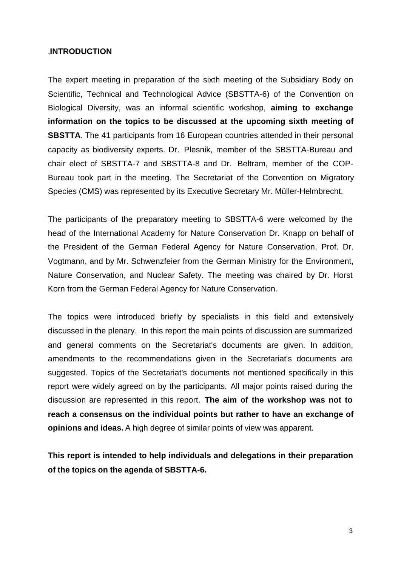#### ,**INTRODUCTION**

The expert meeting in preparation of the sixth meeting of the Subsidiary Body on Scientific, Technical and Technological Advice (SBSTTA-6) of the Convention on Biological Diversity, was an informal scientific workshop, **aiming to exchange information on the topics to be discussed at the upcoming sixth meeting of SBSTTA**. The 41 participants from 16 European countries attended in their personal capacity as biodiversity experts. Dr. Plesnik, member of the SBSTTA-Bureau and chair elect of SBSTTA-7 and SBSTTA-8 and Dr. Beltram, member of the COP-Bureau took part in the meeting. The Secretariat of the Convention on Migratory Species (CMS) was represented by its Executive Secretary Mr. Müller-Helmbrecht.

The participants of the preparatory meeting to SBSTTA-6 were welcomed by the head of the International Academy for Nature Conservation Dr. Knapp on behalf of the President of the German Federal Agency for Nature Conservation, Prof. Dr. Vogtmann, and by Mr. Schwenzfeier from the German Ministry for the Environment, Nature Conservation, and Nuclear Safety. The meeting was chaired by Dr. Horst Korn from the German Federal Agency for Nature Conservation.

The topics were introduced briefly by specialists in this field and extensively discussed in the plenary. In this report the main points of discussion are summarized and general comments on the Secretariat's documents are given. In addition, amendments to the recommendations given in the Secretariat's documents are suggested. Topics of the Secretariat's documents not mentioned specifically in this report were widely agreed on by the participants. All major points raised during the discussion are represented in this report. **The aim of the workshop was not to reach a consensus on the individual points but rather to have an exchange of opinions and ideas.** A high degree of similar points of view was apparent.

**This report is intended to help individuals and delegations in their preparation of the topics on the agenda of SBSTTA-6.**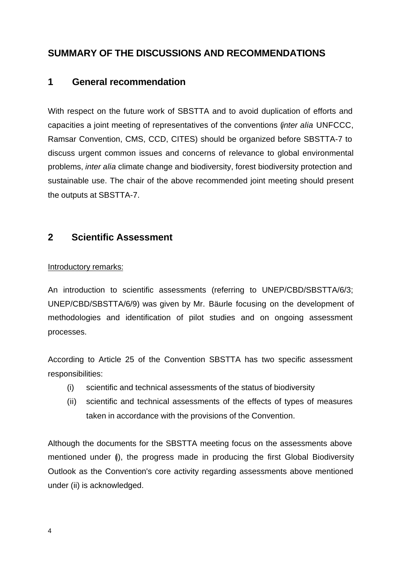# **SUMMARY OF THE DISCUSSIONS AND RECOMMENDATIONS**

# **1 General recommendation**

With respect on the future work of SBSTTA and to avoid duplication of efforts and capacities a joint meeting of representatives of the conventions (*inter alia* UNFCCC, Ramsar Convention, CMS, CCD, CITES) should be organized before SBSTTA-7 to discuss urgent common issues and concerns of relevance to global environmental problems, *inter alia* climate change and biodiversity, forest biodiversity protection and sustainable use. The chair of the above recommended joint meeting should present the outputs at SBSTTA-7.

## **2 Scientific Assessment**

#### Introductory remarks:

An introduction to scientific assessments (referring to UNEP/CBD/SBSTTA/6/3; UNEP/CBD/SBSTTA/6/9) was given by Mr. Bäurle focusing on the development of methodologies and identification of pilot studies and on ongoing assessment processes.

According to Article 25 of the Convention SBSTTA has two specific assessment responsibilities:

- (i) scientific and technical assessments of the status of biodiversity
- (ii) scientific and technical assessments of the effects of types of measures taken in accordance with the provisions of the Convention.

Although the documents for the SBSTTA meeting focus on the assessments above mentioned under (i), the progress made in producing the first Global Biodiversity Outlook as the Convention's core activity regarding assessments above mentioned under (ii) is acknowledged.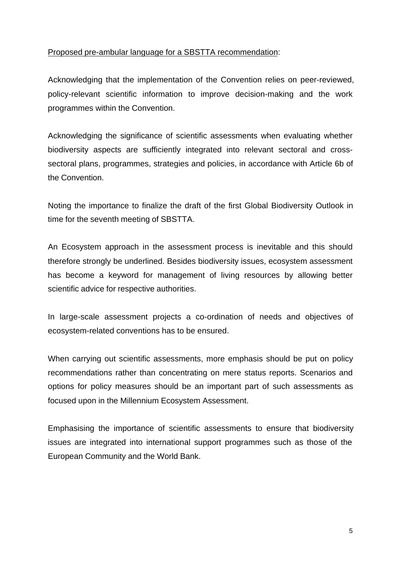#### Proposed pre-ambular language for a SBSTTA recommendation:

Acknowledging that the implementation of the Convention relies on peer-reviewed, policy-relevant scientific information to improve decision-making and the work programmes within the Convention.

Acknowledging the significance of scientific assessments when evaluating whether biodiversity aspects are sufficiently integrated into relevant sectoral and crosssectoral plans, programmes, strategies and policies, in accordance with Article 6b of the Convention.

Noting the importance to finalize the draft of the first Global Biodiversity Outlook in time for the seventh meeting of SBSTTA.

An Ecosystem approach in the assessment process is inevitable and this should therefore strongly be underlined. Besides biodiversity issues, ecosystem assessment has become a keyword for management of living resources by allowing better scientific advice for respective authorities.

In large-scale assessment projects a co-ordination of needs and objectives of ecosystem-related conventions has to be ensured.

When carrying out scientific assessments, more emphasis should be put on policy recommendations rather than concentrating on mere status reports. Scenarios and options for policy measures should be an important part of such assessments as focused upon in the Millennium Ecosystem Assessment.

Emphasising the importance of scientific assessments to ensure that biodiversity issues are integrated into international support programmes such as those of the European Community and the World Bank.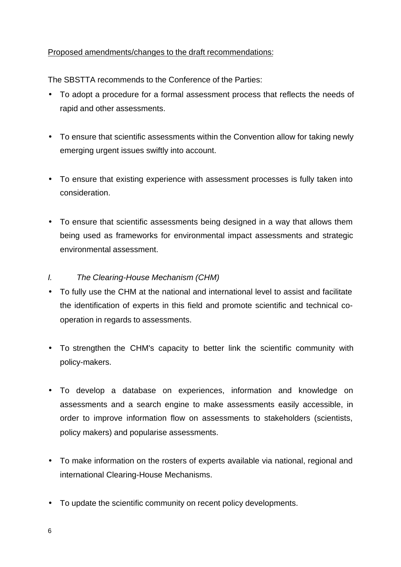#### Proposed amendments/changes to the draft recommendations:

The SBSTTA recommends to the Conference of the Parties:

- To adopt a procedure for a formal assessment process that reflects the needs of rapid and other assessments.
- To ensure that scientific assessments within the Convention allow for taking newly emerging urgent issues swiftly into account.
- To ensure that existing experience with assessment processes is fully taken into consideration.
- To ensure that scientific assessments being designed in a way that allows them being used as frameworks for environmental impact assessments and strategic environmental assessment.
- *I. The Clearing-House Mechanism (CHM)*
- To fully use the CHM at the national and international level to assist and facilitate the identification of experts in this field and promote scientific and technical cooperation in regards to assessments.
- To strengthen the CHM's capacity to better link the scientific community with policy-makers.
- To develop a database on experiences, information and knowledge on assessments and a search engine to make assessments easily accessible, in order to improve information flow on assessments to stakeholders (scientists, policy makers) and popularise assessments.
- To make information on the rosters of experts available via national, regional and international Clearing-House Mechanisms.
- To update the scientific community on recent policy developments.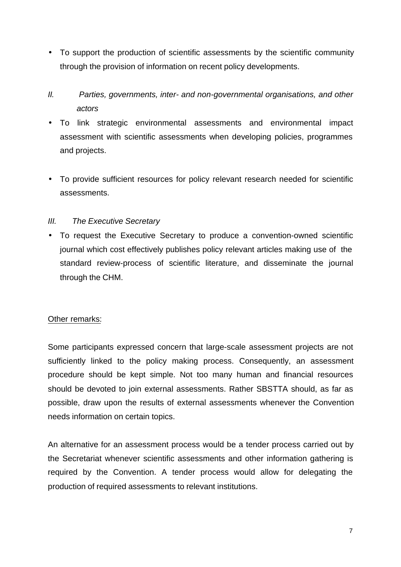- To support the production of scientific assessments by the scientific community through the provision of information on recent policy developments.
- *II. Parties, governments, inter- and non-governmental organisations, and other actors*
- To link strategic environmental assessments and environmental impact assessment with scientific assessments when developing policies, programmes and projects.
- To provide sufficient resources for policy relevant research needed for scientific assessments.

#### *III. The Executive Secretary*

• To request the Executive Secretary to produce a convention-owned scientific journal which cost effectively publishes policy relevant articles making use of the standard review-process of scientific literature, and disseminate the journal through the CHM.

#### Other remarks:

Some participants expressed concern that large-scale assessment projects are not sufficiently linked to the policy making process. Consequently, an assessment procedure should be kept simple. Not too many human and financial resources should be devoted to join external assessments. Rather SBSTTA should, as far as possible, draw upon the results of external assessments whenever the Convention needs information on certain topics.

An alternative for an assessment process would be a tender process carried out by the Secretariat whenever scientific assessments and other information gathering is required by the Convention. A tender process would allow for delegating the production of required assessments to relevant institutions.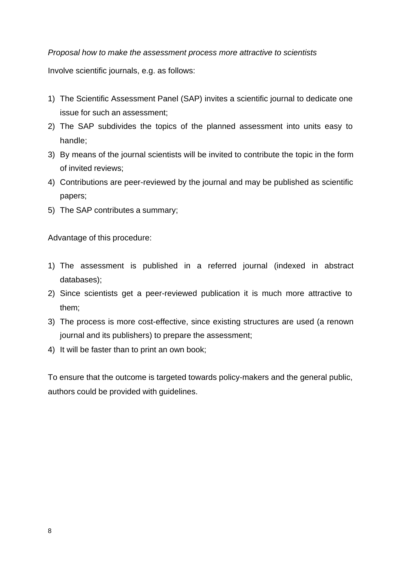#### *Proposal how to make the assessment process more attractive to scientists*

Involve scientific journals, e.g. as follows:

- 1) The Scientific Assessment Panel (SAP) invites a scientific journal to dedicate one issue for such an assessment;
- 2) The SAP subdivides the topics of the planned assessment into units easy to handle;
- 3) By means of the journal scientists will be invited to contribute the topic in the form of invited reviews;
- 4) Contributions are peer-reviewed by the journal and may be published as scientific papers;
- 5) The SAP contributes a summary;

Advantage of this procedure:

- 1) The assessment is published in a referred journal (indexed in abstract databases);
- 2) Since scientists get a peer-reviewed publication it is much more attractive to them;
- 3) The process is more cost-effective, since existing structures are used (a renown journal and its publishers) to prepare the assessment;
- 4) It will be faster than to print an own book;

To ensure that the outcome is targeted towards policy-makers and the general public, authors could be provided with guidelines.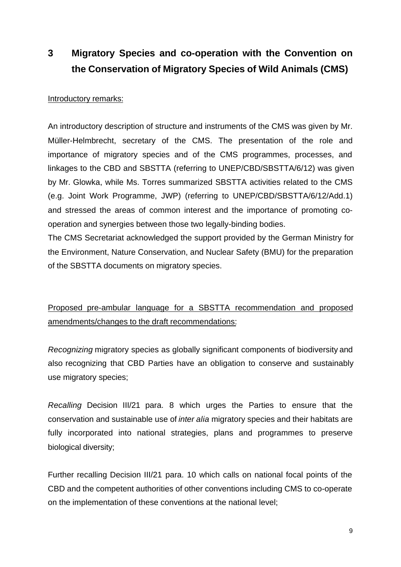# **3 Migratory Species and co-operation with the Convention on the Conservation of Migratory Species of Wild Animals (CMS)**

#### Introductory remarks:

An introductory description of structure and instruments of the CMS was given by Mr. Müller-Helmbrecht, secretary of the CMS. The presentation of the role and importance of migratory species and of the CMS programmes, processes, and linkages to the CBD and SBSTTA (referring to UNEP/CBD/SBSTTA/6/12) was given by Mr. Glowka, while Ms. Torres summarized SBSTTA activities related to the CMS (e.g. Joint Work Programme, JWP) (referring to UNEP/CBD/SBSTTA/6/12/Add.1) and stressed the areas of common interest and the importance of promoting cooperation and synergies between those two legally-binding bodies.

The CMS Secretariat acknowledged the support provided by the German Ministry for the Environment, Nature Conservation, and Nuclear Safety (BMU) for the preparation of the SBSTTA documents on migratory species.

Proposed pre-ambular language for a SBSTTA recommendation and proposed amendments/changes to the draft recommendations:

*Recognizing* migratory species as globally significant components of biodiversity and also recognizing that CBD Parties have an obligation to conserve and sustainably use migratory species;

*Recalling* Decision III/21 para. 8 which urges the Parties to ensure that the conservation and sustainable use of *inter alia* migratory species and their habitats are fully incorporated into national strategies, plans and programmes to preserve biological diversity;

Further recalling Decision III/21 para. 10 which calls on national focal points of the CBD and the competent authorities of other conventions including CMS to co-operate on the implementation of these conventions at the national level;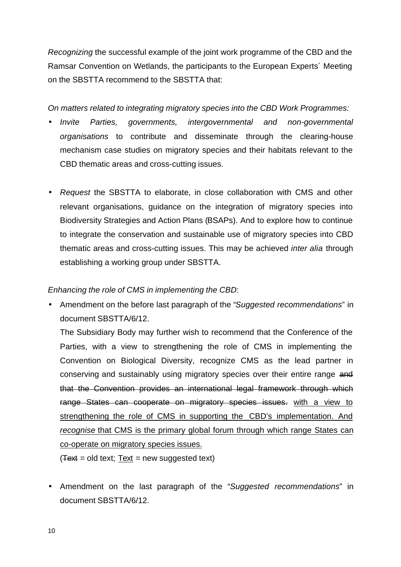*Recognizing* the successful example of the joint work programme of the CBD and the Ramsar Convention on Wetlands, the participants to the European Experts´ Meeting on the SBSTTA recommend to the SBSTTA that:

*On matters related to integrating migratory species into the CBD Work Programmes:*

- *Invite Parties, governments, intergovernmental and non-governmental organisations* to contribute and disseminate through the clearing-house mechanism case studies on migratory species and their habitats relevant to the CBD thematic areas and cross-cutting issues.
- *Request* the SBSTTA to elaborate, in close collaboration with CMS and other relevant organisations, guidance on the integration of migratory species into Biodiversity Strategies and Action Plans (BSAPs). And to explore how to continue to integrate the conservation and sustainable use of migratory species into CBD thematic areas and cross-cutting issues. This may be achieved *inter alia* through establishing a working group under SBSTTA.

#### *Enhancing the role of CMS in implementing the CBD*:

• Amendment on the before last paragraph of the "*Suggested recommendations*" in document SBSTTA/6/12.

The Subsidiary Body may further wish to recommend that the Conference of the Parties, with a view to strengthening the role of CMS in implementing the Convention on Biological Diversity, recognize CMS as the lead partner in conserving and sustainably using migratory species over their entire range and that the Convention provides an international legal framework through which range States can cooperate on migratory species issues. with a view to strengthening the role of CMS in supporting the CBD's implementation. And *recognise* that CMS is the primary global forum through which range States can co-operate on migratory species issues.

 $(T<sub>ext</sub> = old text; Text = new suggested text)$ 

• Amendment on the last paragraph of the "*Suggested recommendations*" in document SBSTTA/6/12.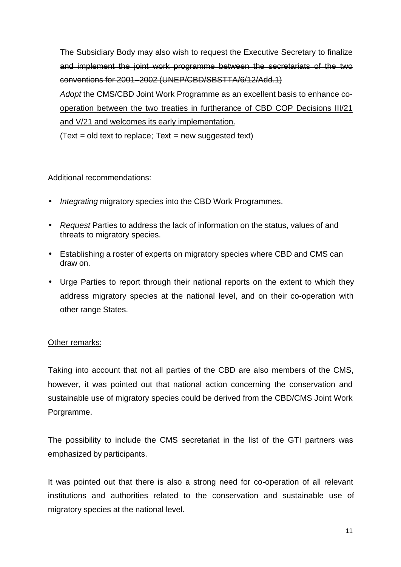The Subsidiary Body may also wish to request the Executive Secretary to finalize and implement the joint work programme between the secretariats of the two conventions for 2001–2002 (UNEP/CBD/SBSTTA/6/12/Add.1) *Adopt* the CMS/CBD Joint Work Programme as an excellent basis to enhance cooperation between the two treaties in furtherance of CBD COP Decisions III/21 and V/21 and welcomes its early implementation.  $(T<sub>ext</sub> = old text to replace; Text = new suggested text)$ 

#### Additional recommendations:

- *Integrating* migratory species into the CBD Work Programmes.
- *Request* Parties to address the lack of information on the status, values of and threats to migratory species.
- Establishing a roster of experts on migratory species where CBD and CMS can draw on.
- Urge Parties to report through their national reports on the extent to which they address migratory species at the national level, and on their co-operation with other range States.

#### Other remarks:

Taking into account that not all parties of the CBD are also members of the CMS, however, it was pointed out that national action concerning the conservation and sustainable use of migratory species could be derived from the CBD/CMS Joint Work Porgramme.

The possibility to include the CMS secretariat in the list of the GTI partners was emphasized by participants.

It was pointed out that there is also a strong need for co-operation of all relevant institutions and authorities related to the conservation and sustainable use of migratory species at the national level.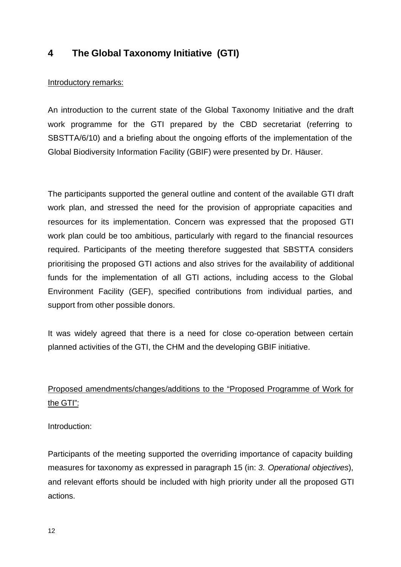## **4 The Global Taxonomy Initiative (GTI)**

#### Introductory remarks:

An introduction to the current state of the Global Taxonomy Initiative and the draft work programme for the GTI prepared by the CBD secretariat (referring to SBSTTA/6/10) and a briefing about the ongoing efforts of the implementation of the Global Biodiversity Information Facility (GBIF) were presented by Dr. Häuser.

The participants supported the general outline and content of the available GTI draft work plan, and stressed the need for the provision of appropriate capacities and resources for its implementation. Concern was expressed that the proposed GTI work plan could be too ambitious, particularly with regard to the financial resources required. Participants of the meeting therefore suggested that SBSTTA considers prioritising the proposed GTI actions and also strives for the availability of additional funds for the implementation of all GTI actions, including access to the Global Environment Facility (GEF), specified contributions from individual parties, and support from other possible donors.

It was widely agreed that there is a need for close co-operation between certain planned activities of the GTI, the CHM and the developing GBIF initiative.

# Proposed amendments/changes/additions to the "Proposed Programme of Work for the GTI":

Introduction:

Participants of the meeting supported the overriding importance of capacity building measures for taxonomy as expressed in paragraph 15 (in: *3. Operational objectives*), and relevant efforts should be included with high priority under all the proposed GTI actions.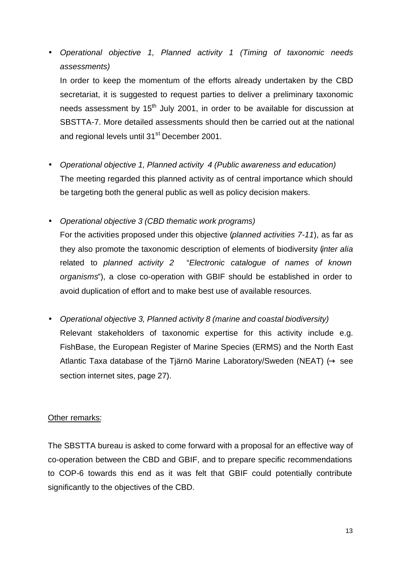• *Operational objective 1, Planned activity 1 (Timing of taxonomic needs assessments)*

In order to keep the momentum of the efforts already undertaken by the CBD secretariat, it is suggested to request parties to deliver a preliminary taxonomic needs assessment by  $15<sup>th</sup>$  July 2001, in order to be available for discussion at SBSTTA-7. More detailed assessments should then be carried out at the national and regional levels until 31<sup>st</sup> December 2001.

- *Operational objective 1, Planned activity 4 (Public awareness and education)* The meeting regarded this planned activity as of central importance which should be targeting both the general public as well as policy decision makers.
- *Operational objective 3 (CBD thematic work programs)*

For the activities proposed under this objective (*planned activities 7-11*), as far as they also promote the taxonomic description of elements of biodiversity (*inter alia* related to *planned activity 2* "*Electronic catalogue of names of known organisms*"), a close co-operation with GBIF should be established in order to avoid duplication of effort and to make best use of available resources.

• *Operational objective 3, Planned activity 8 (marine and coastal biodiversity)* Relevant stakeholders of taxonomic expertise for this activity include e.g. FishBase, the European Register of Marine Species (ERMS) and the North East Atlantic Taxa database of the Tjärnö Marine Laboratory/Sweden (NEAT)  $(\rightarrow$  see section internet sites, page 27).

#### Other remarks:

The SBSTTA bureau is asked to come forward with a proposal for an effective way of co-operation between the CBD and GBIF, and to prepare specific recommendations to COP-6 towards this end as it was felt that GBIF could potentially contribute significantly to the objectives of the CBD.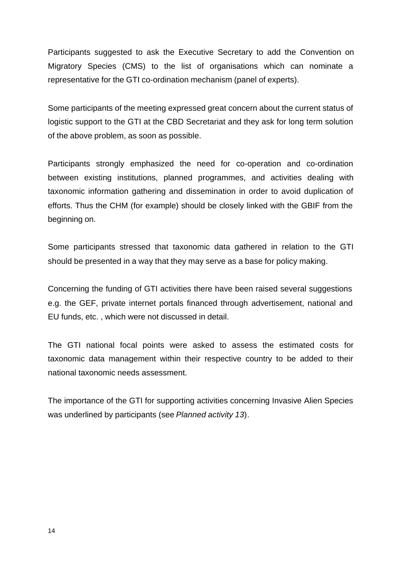Participants suggested to ask the Executive Secretary to add the Convention on Migratory Species (CMS) to the list of organisations which can nominate a representative for the GTI co-ordination mechanism (panel of experts).

Some participants of the meeting expressed great concern about the current status of logistic support to the GTI at the CBD Secretariat and they ask for long term solution of the above problem, as soon as possible.

Participants strongly emphasized the need for co-operation and co-ordination between existing institutions, planned programmes, and activities dealing with taxonomic information gathering and dissemination in order to avoid duplication of efforts. Thus the CHM (for example) should be closely linked with the GBIF from the beginning on.

Some participants stressed that taxonomic data gathered in relation to the GTI should be presented in a way that they may serve as a base for policy making.

Concerning the funding of GTI activities there have been raised several suggestions e.g. the GEF, private internet portals financed through advertisement, national and EU funds, etc. , which were not discussed in detail.

The GTI national focal points were asked to assess the estimated costs for taxonomic data management within their respective country to be added to their national taxonomic needs assessment.

The importance of the GTI for supporting activities concerning Invasive Alien Species was underlined by participants (see *Planned activity 13*).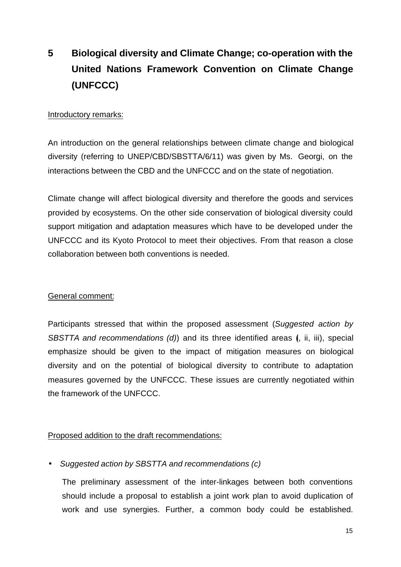# **5 Biological diversity and Climate Change; co-operation with the United Nations Framework Convention on Climate Change (UNFCCC)**

#### Introductory remarks:

An introduction on the general relationships between climate change and biological diversity (referring to UNEP/CBD/SBSTTA/6/11) was given by Ms. Georgi, on the interactions between the CBD and the UNFCCC and on the state of negotiation.

Climate change will affect biological diversity and therefore the goods and services provided by ecosystems. On the other side conservation of biological diversity could support mitigation and adaptation measures which have to be developed under the UNFCCC and its Kyoto Protocol to meet their objectives. From that reason a close collaboration between both conventions is needed.

#### General comment:

Participants stressed that within the proposed assessment (*Suggested action by SBSTTA and recommendations (d)*) and its three identified areas (i, ii, iii), special emphasize should be given to the impact of mitigation measures on biological diversity and on the potential of biological diversity to contribute to adaptation measures governed by the UNFCCC. These issues are currently negotiated within the framework of the UNFCCC.

#### Proposed addition to the draft recommendations:

#### • *Suggested action by SBSTTA and recommendations (c)*

The preliminary assessment of the inter-linkages between both conventions should include a proposal to establish a joint work plan to avoid duplication of work and use synergies. Further, a common body could be established.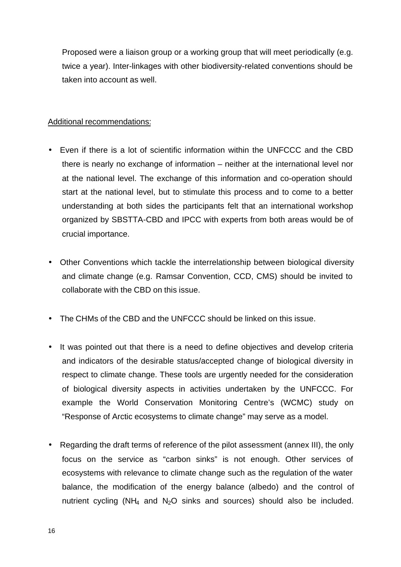Proposed were a liaison group or a working group that will meet periodically (e.g. twice a year). Inter-linkages with other biodiversity-related conventions should be taken into account as well.

#### Additional recommendations:

- Even if there is a lot of scientific information within the UNFCCC and the CBD there is nearly no exchange of information – neither at the international level nor at the national level. The exchange of this information and co-operation should start at the national level, but to stimulate this process and to come to a better understanding at both sides the participants felt that an international workshop organized by SBSTTA-CBD and IPCC with experts from both areas would be of crucial importance.
- Other Conventions which tackle the interrelationship between biological diversity and climate change (e.g. Ramsar Convention, CCD, CMS) should be invited to collaborate with the CBD on this issue.
- The CHMs of the CBD and the UNFCCC should be linked on this issue.
- It was pointed out that there is a need to define objectives and develop criteria and indicators of the desirable status/accepted change of biological diversity in respect to climate change. These tools are urgently needed for the consideration of biological diversity aspects in activities undertaken by the UNFCCC. For example the World Conservation Monitoring Centre's (WCMC) study on "Response of Arctic ecosystems to climate change" may serve as a model.
- Regarding the draft terms of reference of the pilot assessment (annex III), the only focus on the service as "carbon sinks" is not enough. Other services of ecosystems with relevance to climate change such as the regulation of the water balance, the modification of the energy balance (albedo) and the control of nutrient cycling ( $NH_4$  and  $N_2O$  sinks and sources) should also be included.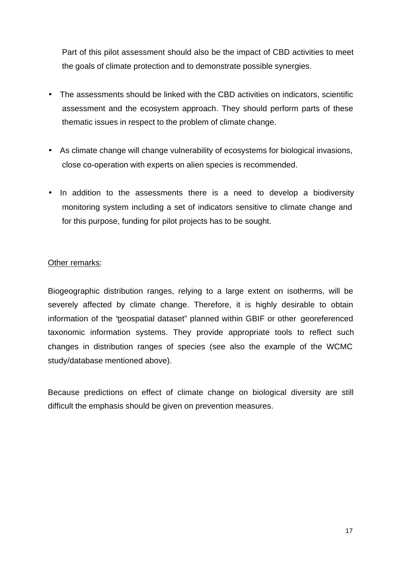Part of this pilot assessment should also be the impact of CBD activities to meet the goals of climate protection and to demonstrate possible synergies.

- The assessments should be linked with the CBD activities on indicators, scientific assessment and the ecosystem approach. They should perform parts of these thematic issues in respect to the problem of climate change.
- As climate change will change vulnerability of ecosystems for biological invasions, close co-operation with experts on alien species is recommended.
- In addition to the assessments there is a need to develop a biodiversity monitoring system including a set of indicators sensitive to climate change and for this purpose, funding for pilot projects has to be sought.

#### Other remarks:

Biogeographic distribution ranges, relying to a large extent on isotherms, will be severely affected by climate change. Therefore, it is highly desirable to obtain information of the "geospatial dataset" planned within GBIF or other georeferenced taxonomic information systems. They provide appropriate tools to reflect such changes in distribution ranges of species (see also the example of the WCMC study/database mentioned above).

Because predictions on effect of climate change on biological diversity are still difficult the emphasis should be given on prevention measures.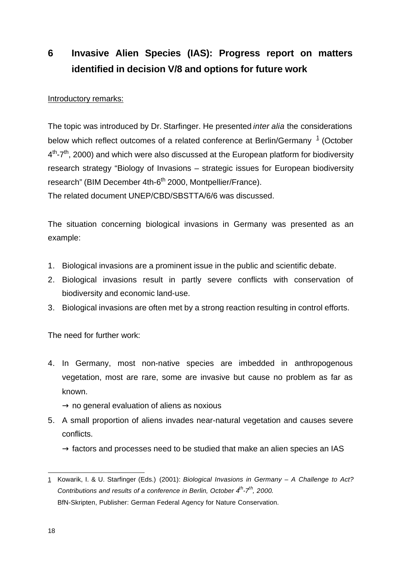# **6 Invasive Alien Species (IAS): Progress report on matters identified in decision V/8 and options for future work**

#### Introductory remarks:

The topic was introduced by Dr. Starfinger. He presented *inter alia* the considerations below which reflect outcomes of a related conference at Berlin/Germany  $^1$  (October  $4^{\text{th}}$ -7<sup>th</sup>, 2000) and which were also discussed at the European platform for biodiversity research strategy "Biology of Invasions – strategic issues for European biodiversity research" (BIM December 4th-6<sup>th</sup> 2000, Montpellier/France).

The related document UNEP/CBD/SBSTTA/6/6 was discussed.

The situation concerning biological invasions in Germany was presented as an example:

- 1. Biological invasions are a prominent issue in the public and scientific debate.
- 2. Biological invasions result in partly severe conflicts with conservation of biodiversity and economic land-use.
- 3. Biological invasions are often met by a strong reaction resulting in control efforts.

The need for further work:

4. In Germany, most non-native species are imbedded in anthropogenous vegetation, most are rare, some are invasive but cause no problem as far as known.

 $\rightarrow$  no general evaluation of aliens as noxious

5. A small proportion of aliens invades near-natural vegetation and causes severe conflicts.

 $\rightarrow$  factors and processes need to be studied that make an alien species an IAS

j 1 Kowarik, I. & U. Starfinger (Eds.) (2001): *Biological Invasions in Germany – A Challenge to Act? Contributions and results of a conference in Berlin, October 4th -7th, 2000*. BfN-Skripten, Publisher: German Federal Agency for Nature Conservation.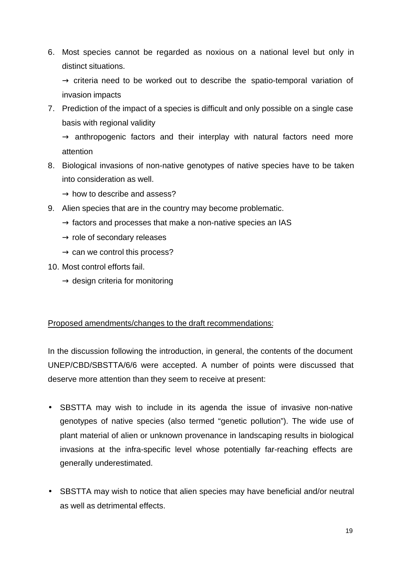6. Most species cannot be regarded as noxious on a national level but only in distinct situations.

 $\rightarrow$  criteria need to be worked out to describe the spatio-temporal variation of invasion impacts

7. Prediction of the impact of a species is difficult and only possible on a single case basis with regional validity

 $\rightarrow$  anthropogenic factors and their interplay with natural factors need more attention

8. Biological invasions of non-native genotypes of native species have to be taken into consideration as well.

 $\rightarrow$  how to describe and assess?

- 9. Alien species that are in the country may become problematic.
	- $\rightarrow$  factors and processes that make a non-native species an IAS
	- $\rightarrow$  role of secondary releases
	- $\rightarrow$  can we control this process?
- 10. Most control efforts fail.
	- $\rightarrow$  design criteria for monitoring

#### Proposed amendments/changes to the draft recommendations:

In the discussion following the introduction, in general, the contents of the document UNEP/CBD/SBSTTA/6/6 were accepted. A number of points were discussed that deserve more attention than they seem to receive at present:

- SBSTTA may wish to include in its agenda the issue of invasive non-native genotypes of native species (also termed "genetic pollution"). The wide use of plant material of alien or unknown provenance in landscaping results in biological invasions at the infra-specific level whose potentially far-reaching effects are generally underestimated.
- SBSTTA may wish to notice that alien species may have beneficial and/or neutral as well as detrimental effects.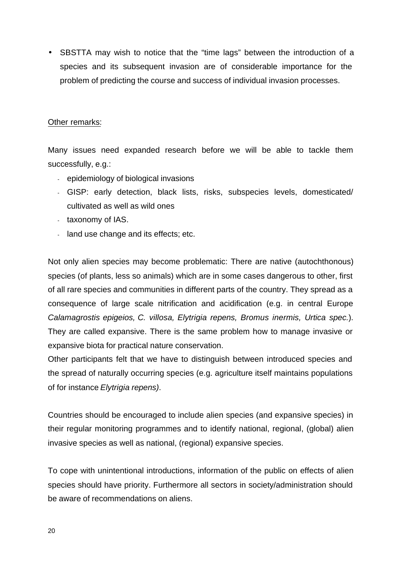• SBSTTA may wish to notice that the "time lags" between the introduction of a species and its subsequent invasion are of considerable importance for the problem of predicting the course and success of individual invasion processes.

#### Other remarks:

Many issues need expanded research before we will be able to tackle them successfully, e.g.:

- epidemiology of biological invasions
- GISP: early detection, black lists, risks, subspecies levels, domesticated/ cultivated as well as wild ones
- taxonomy of IAS.
- land use change and its effects; etc.

Not only alien species may become problematic: There are native (autochthonous) species (of plants, less so animals) which are in some cases dangerous to other, first of all rare species and communities in different parts of the country. They spread as a consequence of large scale nitrification and acidification (e.g. in central Europe *Calamagrostis epigeios, C. villosa, Elytrigia repens, Bromus inermis, Urtica spec.*). They are called expansive. There is the same problem how to manage invasive or expansive biota for practical nature conservation.

Other participants felt that we have to distinguish between introduced species and the spread of naturally occurring species (e.g. agriculture itself maintains populations of for instance *Elytrigia repens)*.

Countries should be encouraged to include alien species (and expansive species) in their regular monitoring programmes and to identify national, regional, (global) alien invasive species as well as national, (regional) expansive species.

To cope with unintentional introductions, information of the public on effects of alien species should have priority. Furthermore all sectors in society/administration should be aware of recommendations on aliens.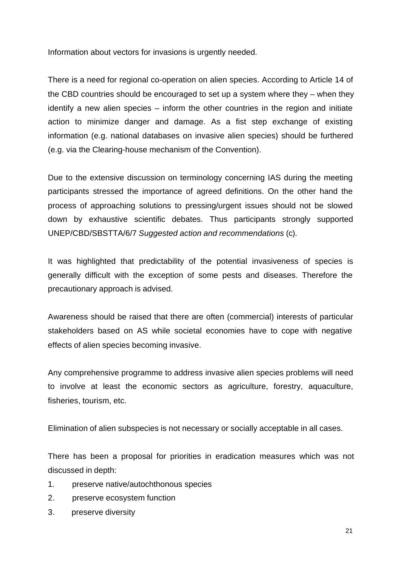Information about vectors for invasions is urgently needed.

There is a need for regional co-operation on alien species. According to Article 14 of the CBD countries should be encouraged to set up a system where they – when they identify a new alien species – inform the other countries in the region and initiate action to minimize danger and damage. As a fist step exchange of existing information (e.g. national databases on invasive alien species) should be furthered (e.g. via the Clearing-house mechanism of the Convention).

Due to the extensive discussion on terminology concerning IAS during the meeting participants stressed the importance of agreed definitions. On the other hand the process of approaching solutions to pressing/urgent issues should not be slowed down by exhaustive scientific debates. Thus participants strongly supported UNEP/CBD/SBSTTA/6/7 *Suggested action and recommendations* (c).

It was highlighted that predictability of the potential invasiveness of species is generally difficult with the exception of some pests and diseases. Therefore the precautionary approach is advised.

Awareness should be raised that there are often (commercial) interests of particular stakeholders based on AS while societal economies have to cope with negative effects of alien species becoming invasive.

Any comprehensive programme to address invasive alien species problems will need to involve at least the economic sectors as agriculture, forestry, aquaculture, fisheries, tourism, etc.

Elimination of alien subspecies is not necessary or socially acceptable in all cases.

There has been a proposal for priorities in eradication measures which was not discussed in depth:

- 1. preserve native/autochthonous species
- 2. preserve ecosystem function
- 3. preserve diversity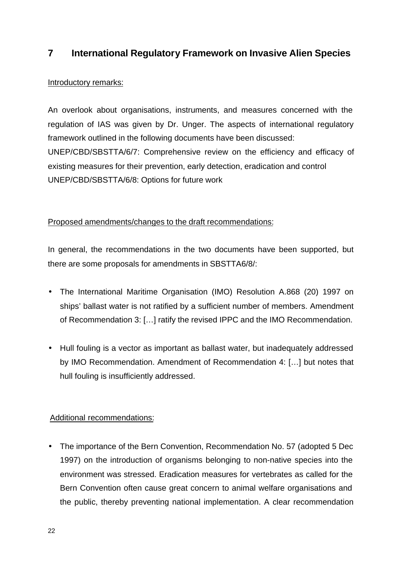## **7 International Regulatory Framework on Invasive Alien Species**

#### Introductory remarks:

An overlook about organisations, instruments, and measures concerned with the regulation of IAS was given by Dr. Unger. The aspects of international regulatory framework outlined in the following documents have been discussed: UNEP/CBD/SBSTTA/6/7: Comprehensive review on the efficiency and efficacy of existing measures for their prevention, early detection, eradication and control UNEP/CBD/SBSTTA/6/8: Options for future work

#### Proposed amendments/changes to the draft recommendations:

In general, the recommendations in the two documents have been supported, but there are some proposals for amendments in SBSTTA6/8/:

- The International Maritime Organisation (IMO) Resolution A.868 (20) 1997 on ships' ballast water is not ratified by a sufficient number of members. Amendment of Recommendation 3: […] ratify the revised IPPC and the IMO Recommendation.
- Hull fouling is a vector as important as ballast water, but inadequately addressed by IMO Recommendation. Amendment of Recommendation 4: […] but notes that hull fouling is insufficiently addressed.

#### Additional recommendations:

• The importance of the Bern Convention, Recommendation No. 57 (adopted 5 Dec 1997) on the introduction of organisms belonging to non-native species into the environment was stressed. Eradication measures for vertebrates as called for the Bern Convention often cause great concern to animal welfare organisations and the public, thereby preventing national implementation. A clear recommendation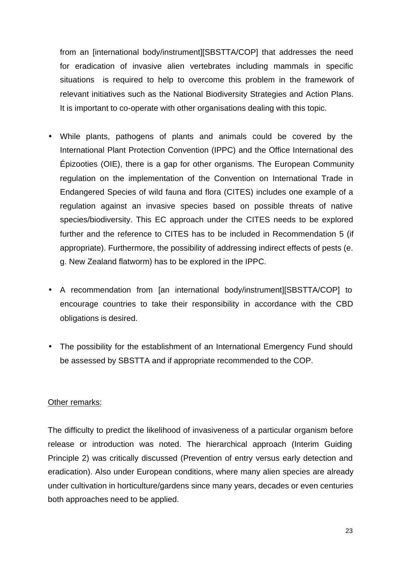from an [international body/instrument][SBSTTA/COP] that addresses the need for eradication of invasive alien vertebrates including mammals in specific situations is required to help to overcome this problem in the framework of relevant initiatives such as the National Biodiversity Strategies and Action Plans. It is important to co-operate with other organisations dealing with this topic.

- While plants, pathogens of plants and animals could be covered by the International Plant Protection Convention (IPPC) and the Office International des Épizooties (OIE), there is a gap for other organisms. The European Community regulation on the implementation of the Convention on International Trade in Endangered Species of wild fauna and flora (CITES) includes one example of a regulation against an invasive species based on possible threats of native species/biodiversity. This EC approach under the CITES needs to be explored further and the reference to CITES has to be included in Recommendation 5 (if appropriate). Furthermore, the possibility of addressing indirect effects of pests (e. g. New Zealand flatworm) has to be explored in the IPPC.
- A recommendation from [an international body/instrument][SBSTTA/COP] to encourage countries to take their responsibility in accordance with the CBD obligations is desired.
- The possibility for the establishment of an International Emergency Fund should be assessed by SBSTTA and if appropriate recommended to the COP.

#### Other remarks:

The difficulty to predict the likelihood of invasiveness of a particular organism before release or introduction was noted. The hierarchical approach (Interim Guiding Principle 2) was critically discussed (Prevention of entry versus early detection and eradication). Also under European conditions, where many alien species are already under cultivation in horticulture/gardens since many years, decades or even centuries both approaches need to be applied.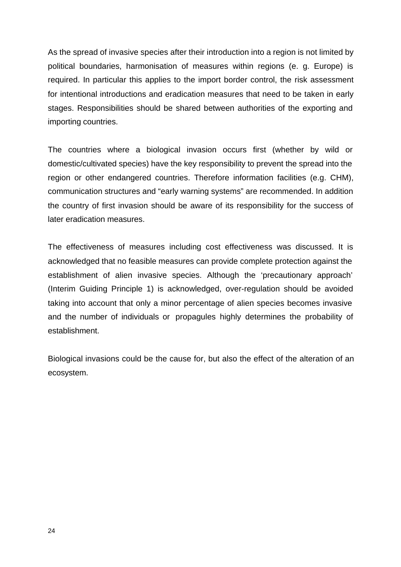As the spread of invasive species after their introduction into a region is not limited by political boundaries, harmonisation of measures within regions (e. g. Europe) is required. In particular this applies to the import border control, the risk assessment for intentional introductions and eradication measures that need to be taken in early stages. Responsibilities should be shared between authorities of the exporting and importing countries.

The countries where a biological invasion occurs first (whether by wild or domestic/cultivated species) have the key responsibility to prevent the spread into the region or other endangered countries. Therefore information facilities (e.g. CHM), communication structures and "early warning systems" are recommended. In addition the country of first invasion should be aware of its responsibility for the success of later eradication measures.

The effectiveness of measures including cost effectiveness was discussed. It is acknowledged that no feasible measures can provide complete protection against the establishment of alien invasive species. Although the 'precautionary approach' (Interim Guiding Principle 1) is acknowledged, over-regulation should be avoided taking into account that only a minor percentage of alien species becomes invasive and the number of individuals or propagules highly determines the probability of establishment.

Biological invasions could be the cause for, but also the effect of the alteration of an ecosystem.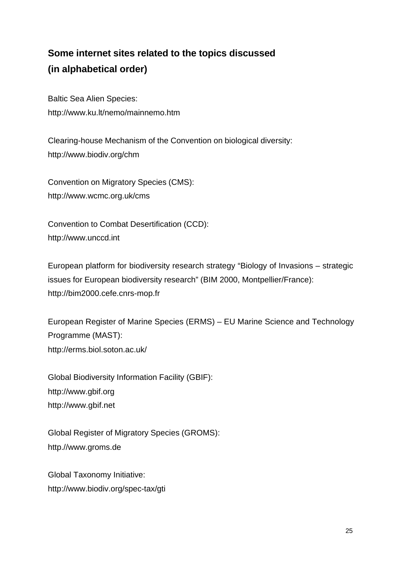# **Some internet sites related to the topics discussed (in alphabetical order)**

Baltic Sea Alien Species: http://www.ku.lt/nemo/mainnemo.htm

Clearing-house Mechanism of the Convention on biological diversity: http://www.biodiv.org/chm

Convention on Migratory Species (CMS): http://www.wcmc.org.uk/cms

Convention to Combat Desertification (CCD): http://www.unccd.int

European platform for biodiversity research strategy "Biology of Invasions – strategic issues for European biodiversity research" (BIM 2000, Montpellier/France): http://bim2000.cefe.cnrs-mop.fr

European Register of Marine Species (ERMS) – EU Marine Science and Technology Programme (MAST): http://erms.biol.soton.ac.uk/

Global Biodiversity Information Facility (GBIF): http://www.gbif.org http://www.gbif.net

Global Register of Migratory Species (GROMS): http.//www.groms.de

Global Taxonomy Initiative: http://www.biodiv.org/spec-tax/gti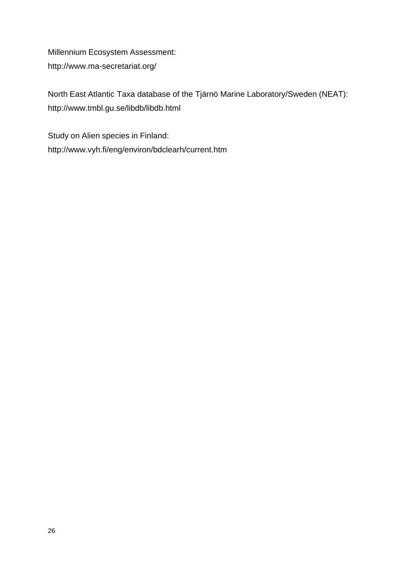Millennium Ecosystem Assessment: http://www.ma-secretariat.org/

North East Atlantic Taxa database of the Tjärnö Marine Laboratory/Sweden (NEAT): http://www.tmbl.gu.se/libdb/libdb.html

Study on Alien species in Finland: http://www.vyh.fi/eng/environ/bdclearh/current.htm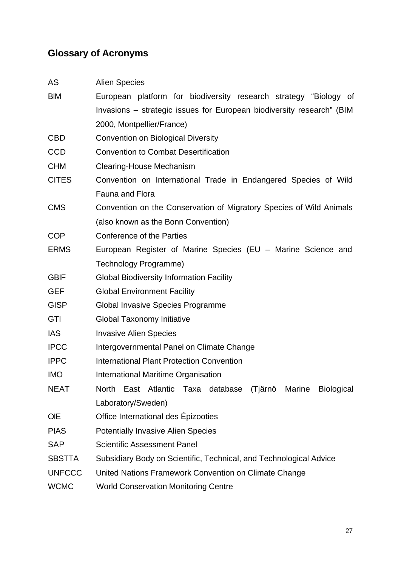## **Glossary of Acronyms**

| AS | <b>Alien Species</b> |
|----|----------------------|
|----|----------------------|

| <b>BIM</b> |                           |  | European platform for biodiversity research strategy "Biology of      |  |  |
|------------|---------------------------|--|-----------------------------------------------------------------------|--|--|
|            |                           |  | Invasions – strategic issues for European biodiversity research" (BIM |  |  |
|            | 2000, Montpellier/France) |  |                                                                       |  |  |

- CBD Convention on Biological Diversity
- CCD Convention to Combat Desertification
- CHM Clearing-House Mechanism
- CITES Convention on International Trade in Endangered Species of Wild Fauna and Flora
- CMS Convention on the Conservation of Migratory Species of Wild Animals (also known as the Bonn Convention)
- COP Conference of the Parties
- ERMS European Register of Marine Species (EU Marine Science and Technology Programme)
- GBIF Global Biodiversity Information Facility
- GEF Global Environment Facility
- GISP Global Invasive Species Programme
- GTI Global Taxonomy Initiative
- IAS Invasive Alien Species
- IPCC Intergovernmental Panel on Climate Change
- IPPC International Plant Protection Convention
- IMO International Maritime Organisation
- NEAT North East Atlantic Taxa database (Tjärnö Marine Biological Laboratory/Sweden)
- OIE Office International des Épizooties
- PIAS Potentially Invasive Alien Species
- SAP Scientific Assessment Panel
- SBSTTA Subsidiary Body on Scientific, Technical, and Technological Advice
- UNFCCC United Nations Framework Convention on Climate Change
- WCMC World Conservation Monitoring Centre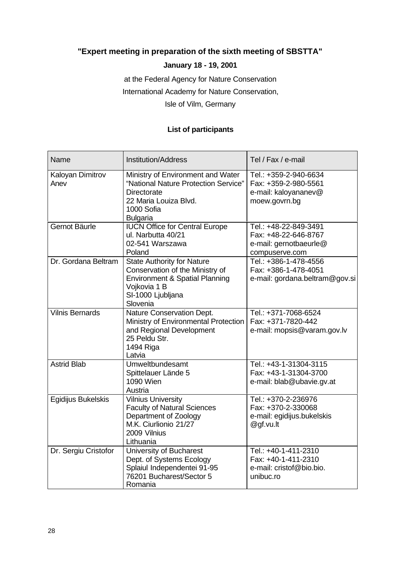## **"Expert meeting in preparation of the sixth meeting of SBSTTA"**

#### **January 18 - 19, 2001**

at the Federal Agency for Nature Conservation

International Academy for Nature Conservation,

Isle of Vilm, Germany

#### **List of participants**

| <b>Name</b>              | <b>Institution/Address</b>                                                                                                                              | Tel / Fax / e-mail                                                                        |
|--------------------------|---------------------------------------------------------------------------------------------------------------------------------------------------------|-------------------------------------------------------------------------------------------|
| Kaloyan Dimitrov<br>Anev | Ministry of Environment and Water<br>"National Nature Protection Service"<br>Directorate<br>22 Maria Louiza Blvd.<br>1000 Sofia<br><b>Bulgaria</b>      | Tel.: +359-2-940-6634<br>Fax: +359-2-980-5561<br>e-mail: kaloyananev@<br>moew.govrn.bg    |
| Gernot Bäurle            | <b>IUCN Office for Central Europe</b><br>ul. Narbutta 40/21<br>02-541 Warszawa<br>Poland                                                                | Tel.: +48-22-849-3491<br>Fax: +48-22-646-8767<br>e-mail: gernotbaeurle@<br>compuserve.com |
| Dr. Gordana Beltram      | <b>State Authority for Nature</b><br>Conservation of the Ministry of<br>Environment & Spatial Planning<br>Vojkovia 1 B<br>SI-1000 Ljubljana<br>Slovenia | Tel.: +386-1-478-4556<br>Fax: +386-1-478-4051<br>e-mail: gordana.beltram@gov.si           |
| <b>Vilnis Bernards</b>   | Nature Conservation Dept.<br>Ministry of Environmental Protection<br>and Regional Development<br>25 Peldu Str.<br>1494 Riga<br>Latvia                   | Tel.: +371-7068-6524<br>Fax: +371-7820-442<br>e-mail: mopsis@varam.gov.lv                 |
| <b>Astrid Blab</b>       | Umweltbundesamt<br>Spittelauer Lände 5<br><b>1090 Wien</b><br>Austria                                                                                   | Tel.: +43-1-31304-3115<br>Fax: +43-1-31304-3700<br>e-mail: blab@ubavie.gv.at              |
| Egidijus Bukelskis       | <b>Vilnius University</b><br><b>Faculty of Natural Sciences</b><br>Department of Zoology<br>M.K. Ciurlionio 21/27<br>2009 Vilnius<br>Lithuania          | Tel.: +370-2-236976<br>Fax: +370-2-330068<br>e-mail: egidijus.bukelskis<br>@gf.vu.lt      |
| Dr. Sergiu Cristofor     | University of Bucharest<br>Dept. of Systems Ecology<br>Splaiul Independentei 91-95<br>76201 Bucharest/Sector 5<br>Romania                               | Tel.: +40-1-411-2310<br>Fax: +40-1-411-2310<br>e-mail: cristof@bio.bio.<br>unibuc.ro      |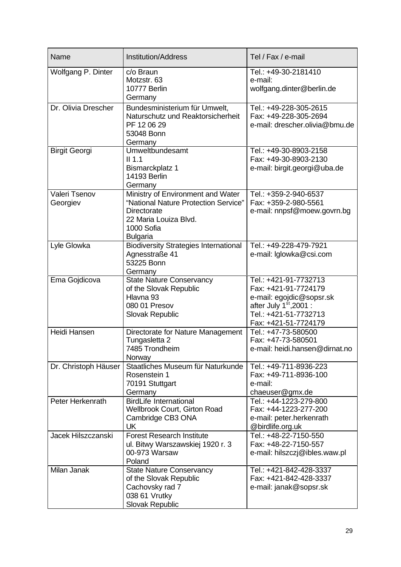| Name                      | <b>Institution/Address</b>                                                                                                                                | Tel / Fax / e-mail                                                                                                                                     |
|---------------------------|-----------------------------------------------------------------------------------------------------------------------------------------------------------|--------------------------------------------------------------------------------------------------------------------------------------------------------|
| Wolfgang P. Dinter        | c/o Braun<br>Motzstr. 63<br>10777 Berlin<br>Germany                                                                                                       | Tel.: +49-30-2181410<br>e-mail:<br>wolfgang.dinter@berlin.de                                                                                           |
| Dr. Olivia Drescher       | Bundesministerium für Umwelt,<br>Naturschutz und Reaktorsicherheit<br>PF 12 06 29<br>53048 Bonn<br>Germany                                                | Tel.: +49-228-305-2615<br>Fax: +49-228-305-2694<br>e-mail: drescher.olivia@bmu.de                                                                      |
| <b>Birgit Georgi</b>      | Umweltbundesamt<br>$II$ 1.1<br>Bismarckplatz 1<br><b>14193 Berlin</b><br>Germany                                                                          | Tel.: +49-30-8903-2158<br>Fax: +49-30-8903-2130<br>e-mail: birgit.georgi@uba.de                                                                        |
| Valeri Tsenov<br>Georgiev | Ministry of Environment and Water<br>"National Nature Protection Service"<br><b>Directorate</b><br>22 Maria Louiza Blvd.<br>1000 Sofia<br><b>Bulgaria</b> | Tel.: +359-2-940-6537<br>Fax: +359-2-980-5561<br>e-mail: nnpsf@moew.govrn.bg                                                                           |
| Lyle Glowka               | <b>Biodiversity Strategies International</b><br>Agnesstraße 41<br>53225 Bonn<br>Germany                                                                   | Tel.: +49-228-479-7921<br>e-mail: Iglowka@csi.com                                                                                                      |
| Ema Gojdicova             | <b>State Nature Conservancy</b><br>of the Slovak Republic<br>Hlavna 93<br>080 01 Presov<br><b>Slovak Republic</b>                                         | Tel.: +421-91-7732713<br>Fax: +421-91-7724179<br>e-mail: egojdic@sopsr.sk<br>after July $1st$ , 2001:<br>Tel.: +421-51-7732713<br>Fax: +421-51-7724179 |
| <b>Heidi Hansen</b>       | Directorate for Nature Management<br>Tungasletta 2<br>7485 Trondheim<br>Norway                                                                            | Tel.: +47-73-580500<br>Fax: +47-73-580501<br>e-mail: heidi.hansen@dirnat.no                                                                            |
| Dr. Christoph Häuser      | Staatliches Museum für Naturkunde<br>Rosenstein 1<br>70191 Stuttgart<br>Germany                                                                           | Tel.: +49-711-8936-223<br>Fax: +49-711-8936-100<br>e-mail:<br>chaeuser@gmx.de                                                                          |
| Peter Herkenrath          | <b>BirdLife International</b><br><b>Wellbrook Court, Girton Road</b><br>Cambridge CB3 ONA<br>UK                                                           | Tel.: +44-1223-279-800<br>Fax: +44-1223-277-200<br>e-mail: peter.herkenrath<br>@birdlife.org.uk                                                        |
| Jacek Hilszczanski        | <b>Forest Research Institute</b><br>ul. Bitwy Warszawskiej 1920 r. 3<br>00-973 Warsaw<br>Poland                                                           | Tel.: +48-22-7150-550<br>Fax: +48-22-7150-557<br>e-mail: hilszczj@ibles.waw.pl                                                                         |
| Milan Janak               | <b>State Nature Conservancy</b><br>of the Slovak Republic<br>Cachovsky rad 7<br>038 61 Vrutky<br>Slovak Republic                                          | Tel.: +421-842-428-3337<br>Fax: +421-842-428-3337<br>e-mail: janak@sopsr.sk                                                                            |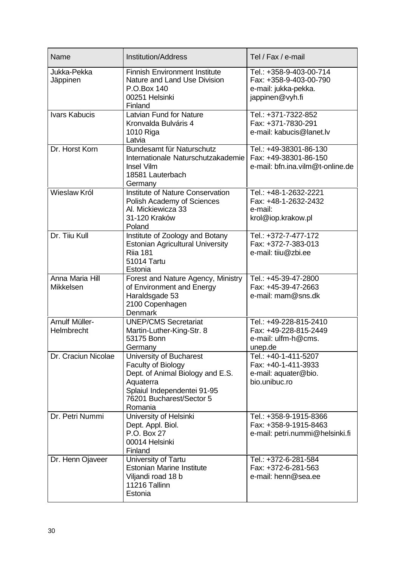| Name                         | <b>Institution/Address</b>                                                                                                                                           | Tel / Fax / e-mail                                                                           |
|------------------------------|----------------------------------------------------------------------------------------------------------------------------------------------------------------------|----------------------------------------------------------------------------------------------|
| Jukka-Pekka<br>Jäppinen      | <b>Finnish Environment Institute</b><br>Nature and Land Use Division<br>P.O.Box 140<br>00251 Helsinki<br>Finland                                                     | Tel.: +358-9-403-00-714<br>Fax: +358-9-403-00-790<br>e-mail: jukka-pekka.<br>jappinen@vyh.fi |
| <b>Ivars Kabucis</b>         | Latvian Fund for Nature<br>Kronvalda Bulváris 4<br>1010 Riga<br>Latvia                                                                                               | Tel.: +371-7322-852<br>Fax: +371-7830-291<br>e-mail: kabucis@lanet.lv                        |
| Dr. Horst Korn               | Bundesamt für Naturschutz<br>Internationale Naturschutzakademie<br><b>Insel Vilm</b><br>18581 Lauterbach<br>Germany                                                  | Tel.: +49-38301-86-130<br>Fax: +49-38301-86-150<br>e-mail: bfn.ina.vilm@t-online.de          |
| Wieslaw Król                 | Institute of Nature Conservation<br>Polish Academy of Sciences<br>Al. Mickiewicza 33<br>31-120 Kraków<br>Poland                                                      | Tel.: +48-1-2632-2221<br>Fax: +48-1-2632-2432<br>e-mail:<br>krol@iop.krakow.pl               |
| Dr. Tiiu Kull                | Institute of Zoology and Botany<br><b>Estonian Agricultural University</b><br><b>Rija 181</b><br>51014 Tartu<br>Estonia                                              | Tel.: +372-7-477-172<br>Fax: +372-7-383-013<br>e-mail: tiiu@zbi.ee                           |
| Anna Maria Hill<br>Mikkelsen | Forest and Nature Agency, Ministry<br>of Environment and Energy<br>Haraldsgade 53<br>2100 Copenhagen<br>Denmark                                                      | Tel.: +45-39-47-2800<br>Fax: +45-39-47-2663<br>e-mail: mam@sns.dk                            |
| Arnulf Müller-<br>Helmbrecht | <b>UNEP/CMS Secretariat</b><br>Martin-Luther-King-Str. 8<br>53175 Bonn<br>Germany                                                                                    | Tel.: +49-228-815-2410<br>Fax: +49-228-815-2449<br>e-mail: ulfm-h@cms.<br>unep.de            |
| Dr. Craciun Nicolae          | University of Bucharest<br>Faculty of Biology<br>Dept. of Animal Biology and E.S.<br>Aquaterra<br>Splaiul Independentei 91-95<br>76201 Bucharest/Sector 5<br>Romania | Tel.: +40-1-411-5207<br>Fax: +40-1-411-3933<br>e-mail: aquater@bio.<br>bio.unibuc.ro         |
| Dr. Petri Nummi              | University of Helsinki<br>Dept. Appl. Biol.<br>P.O. Box 27<br>00014 Helsinki<br>Finland                                                                              | Tel.: +358-9-1915-8366<br>Fax: +358-9-1915-8463<br>e-mail: petri.nummi@helsinki.fi           |
| Dr. Henn Ojaveer             | University of Tartu<br><b>Estonian Marine Institute</b><br>Viljandi road 18 b<br>11216 Tallinn<br>Estonia                                                            | Tel.: +372-6-281-584<br>Fax: +372-6-281-563<br>e-mail: henn@sea.ee                           |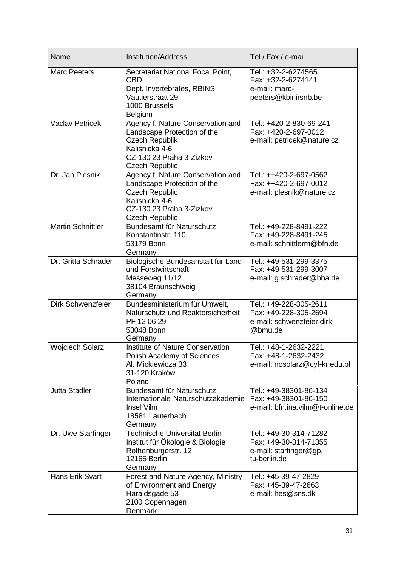| Name                     | <b>Institution/Address</b>                                                                                                                                       | Tel / Fax / e-mail                                                                        |  |
|--------------------------|------------------------------------------------------------------------------------------------------------------------------------------------------------------|-------------------------------------------------------------------------------------------|--|
| <b>Marc Peeters</b>      | Secretariat National Focal Point,<br><b>CBD</b><br>Dept. Invertebrates, RBINS<br>Vautierstraat 29<br>1000 Brussels<br><b>Belgium</b>                             | Tel.: +32-2-6274565<br>Fax: +32-2-6274141<br>e-mail: marc-<br>peeters@kbinirsnb.be        |  |
| <b>Vaclav Petricek</b>   | Agency f. Nature Conservation and<br>Landscape Protection of the<br><b>Czech Republik</b><br>Kalisnicka 4-6<br>CZ-130 23 Praha 3-Zizkov<br><b>Czech Republic</b> | Tel.: +420-2-830-69-241<br>Fax: +420-2-697-0012<br>e-mail: petricek@nature.cz             |  |
| Dr. Jan Plesnik          | Agency f. Nature Conservation and<br>Landscape Protection of the<br><b>Czech Republic</b><br>Kalisnicka 4-6<br>CZ-130 23 Praha 3-Zizkov<br><b>Czech Republic</b> | Tel.: ++420-2-697-0562<br>Fax: ++420-2-697-0012<br>e-mail: plesnik@nature.cz              |  |
| <b>Martin Schnittler</b> | Bundesamt für Naturschutz<br>Konstantinstr. 110<br>53179 Bonn<br>Germany                                                                                         | Tel.: +49-228-8491-222<br>Fax: +49-228-8491-245<br>e-mail: schnittlerm@bfn.de             |  |
| Dr. Gritta Schrader      | Biologische Bundesanstalt für Land-<br>und Forstwirtschaft<br>Messeweg 11/12<br>38104 Braunschweig<br>Germany                                                    | Tel.: +49-531-299-3375<br>Fax: +49-531-299-3007<br>e-mail: g.schrader@bba.de              |  |
| Dirk Schwenzfeier        | Bundesministerium für Umwelt,<br>Naturschutz und Reaktorsicherheit<br>PF 12 06 29<br>53048 Bonn<br>Germany                                                       | Tel.: +49-228-305-2611<br>Fax: +49-228-305-2694<br>e-mail: schwenzfeier.dirk<br>@bmu.de   |  |
| <b>Woiciech Solarz</b>   | Institute of Nature Conservation<br>Polish Academy of Sciences<br>Al. Mickiewicza 33<br>31-120 Kraków<br>Poland                                                  | Tel.: +48-1-2632-2221<br>Fax: +48-1-2632-2432<br>e-mail: nosolarz@cyf-kr.edu.pl           |  |
| <b>Jutta Stadler</b>     | Bundesamt für Naturschutz<br>Internationale Naturschutzakademie<br>Insel Vilm<br>18581 Lauterbach<br>Germany                                                     | Tel.: +49-38301-86-134<br>Fax: +49-38301-86-150<br>e-mail: bfn.ina.vilm@t-online.de       |  |
| Dr. Uwe Starfinger       | Technische Universität Berlin<br>Institut für Ökologie & Biologie<br>Rothenburgerstr. 12<br><b>12165 Berlin</b><br>Germany                                       | Tel.: +49-30-314-71282<br>Fax: +49-30-314-71355<br>e-mail: starfinger@gp.<br>tu-berlin.de |  |
| Hans Erik Svart          | Forest and Nature Agency, Ministry<br>of Environment and Energy<br>Haraldsgade 53<br>2100 Copenhagen<br>Denmark                                                  | Tel.: +45-39-47-2829<br>Fax: +45-39-47-2663<br>e-mail: hes@sns.dk                         |  |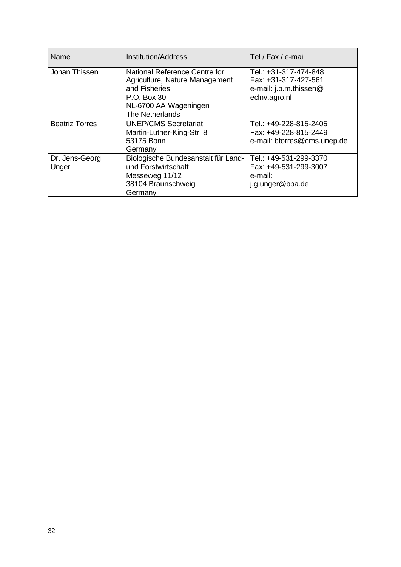| Name                    | <b>Institution/Address</b>                                                                                                                  | Tel / Fax / e-mail                                                                       |
|-------------------------|---------------------------------------------------------------------------------------------------------------------------------------------|------------------------------------------------------------------------------------------|
| Johan Thissen           | National Reference Centre for<br>Agriculture, Nature Management<br>and Fisheries<br>P.O. Box 30<br>NL-6700 AA Wageningen<br>The Netherlands | Tel.: +31-317-474-848<br>Fax: +31-317-427-561<br>e-mail: j.b.m.thissen@<br>eclnv.agro.nl |
| <b>Beatriz Torres</b>   | <b>UNEP/CMS Secretariat</b><br>Martin-Luther-King-Str. 8<br>53175 Bonn<br>Germany                                                           | Tel.: +49-228-815-2405<br>Fax: +49-228-815-2449<br>e-mail: btorres@cms.unep.de           |
| Dr. Jens-Georg<br>Unger | Biologische Bundesanstalt für Land-<br>und Forstwirtschaft<br>Messeweg 11/12<br>38104 Braunschweig<br>Germany                               | Tel.: +49-531-299-3370<br>Fax: +49-531-299-3007<br>e-mail:<br>j.g.unger@bba.de           |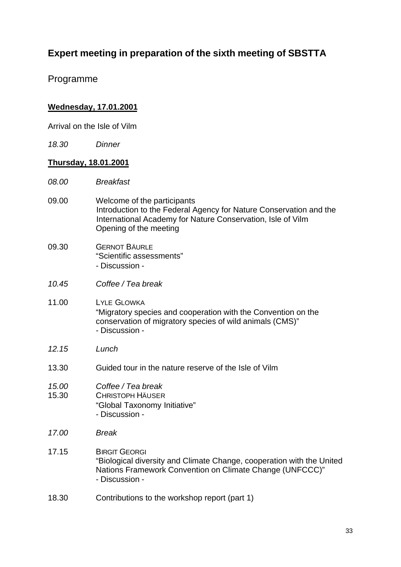# **Expert meeting in preparation of the sixth meeting of SBSTTA**

Programme

#### **Wednesday, 17.01.2001**

Arrival on the Isle of Vilm

*18.30 Dinner*

#### **Thursday, 18.01.2001**

- *08.00 Breakfast*
- 09.00 Welcome of the participants Introduction to the Federal Agency for Nature Conservation and the International Academy for Nature Conservation, Isle of Vilm Opening of the meeting
- 09.30 GERNOT BÄURLE "Scientific assessments" - Discussion -
- *10.45 Coffee / Tea break*
- 11.00 LYLE GLOWKA "Migratory species and cooperation with the Convention on the conservation of migratory species of wild animals (CMS)" - Discussion -
- *12.15 Lunch*
- 13.30 Guided tour in the nature reserve of the Isle of Vilm
- *15.00 Coffee / Tea break*
- 15.30 CHRISTOPH HÄUSER "Global Taxonomy Initiative" - Discussion -
- *17.00 Break*
- 17.15 BIRGIT GEORGI "Biological diversity and Climate Change, cooperation with the United Nations Framework Convention on Climate Change (UNFCCC)" - Discussion -
- 18.30 Contributions to the workshop report (part 1)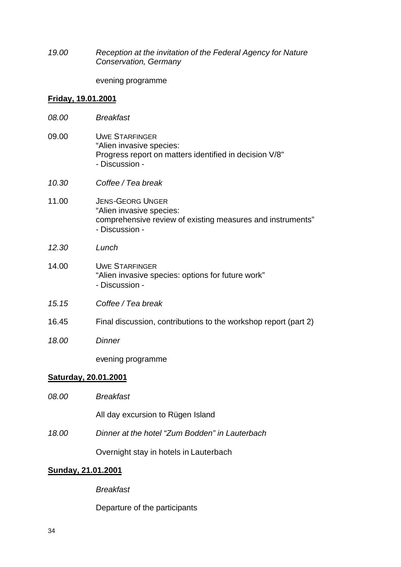*19.00 Reception at the invitation of the Federal Agency for Nature Conservation, Germany*

evening programme

#### **Friday, 19.01.2001**

| 08.00                       | <b>Breakfast</b>                                                                                                                    |
|-----------------------------|-------------------------------------------------------------------------------------------------------------------------------------|
| 09.00                       | <b>UWE STARFINGER</b><br>"Alien invasive species:<br>Progress report on matters identified in decision V/8"<br>- Discussion -       |
| 10.30                       | Coffee / Tea break                                                                                                                  |
| 11.00                       | <b>JENS-GEORG UNGER</b><br>"Alien invasive species:<br>comprehensive review of existing measures and instruments"<br>- Discussion - |
| 12.30                       | Lunch                                                                                                                               |
| 14.00                       | <b>UWE STARFINGER</b><br>"Alien invasive species: options for future work"<br>- Discussion -                                        |
| 15.15                       | Coffee / Tea break                                                                                                                  |
| 16.45                       | Final discussion, contributions to the workshop report (part 2)                                                                     |
| 18.00                       | <b>Dinner</b>                                                                                                                       |
|                             | evening programme                                                                                                                   |
| <u>Saturday, 20.01.2001</u> |                                                                                                                                     |
|                             |                                                                                                                                     |

*08.00 Breakfast* All day excursion to Rügen Island *18.00 Dinner at the hotel "Zum Bodden" in Lauterbach* Overnight stay in hotels in Lauterbach

### **Sunday, 21.01.2001**

*Breakfast*

Departure of the participants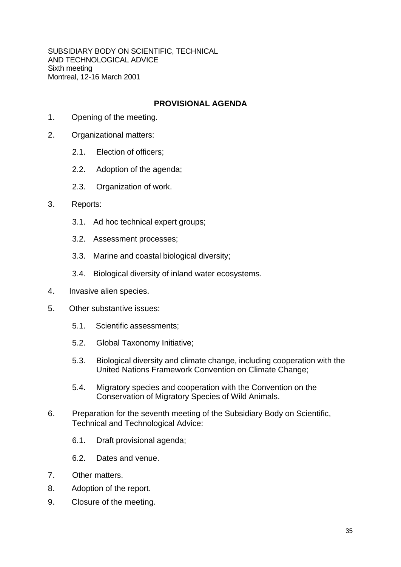SUBSIDIARY BODY ON SCIENTIFIC, TECHNICAL AND TECHNOLOGICAL ADVICE Sixth meeting Montreal, 12-16 March 2001

#### **PROVISIONAL AGENDA**

- 1. Opening of the meeting.
- 2. Organizational matters:
	- 2.1. Election of officers;
	- 2.2. Adoption of the agenda;
	- 2.3. Organization of work.

#### 3. Reports:

- 3.1. Ad hoc technical expert groups;
- 3.2. Assessment processes;
- 3.3. Marine and coastal biological diversity;
- 3.4. Biological diversity of inland water ecosystems.
- 4. Invasive alien species.
- 5. Other substantive issues:
	- 5.1. Scientific assessments;
	- 5.2. Global Taxonomy Initiative;
	- 5.3. Biological diversity and climate change, including cooperation with the United Nations Framework Convention on Climate Change;
	- 5.4. Migratory species and cooperation with the Convention on the Conservation of Migratory Species of Wild Animals.
- 6. Preparation for the seventh meeting of the Subsidiary Body on Scientific, Technical and Technological Advice:
	- 6.1. Draft provisional agenda;
	- 6.2. Dates and venue.
- 7. Other matters.
- 8. Adoption of the report.
- 9. Closure of the meeting.